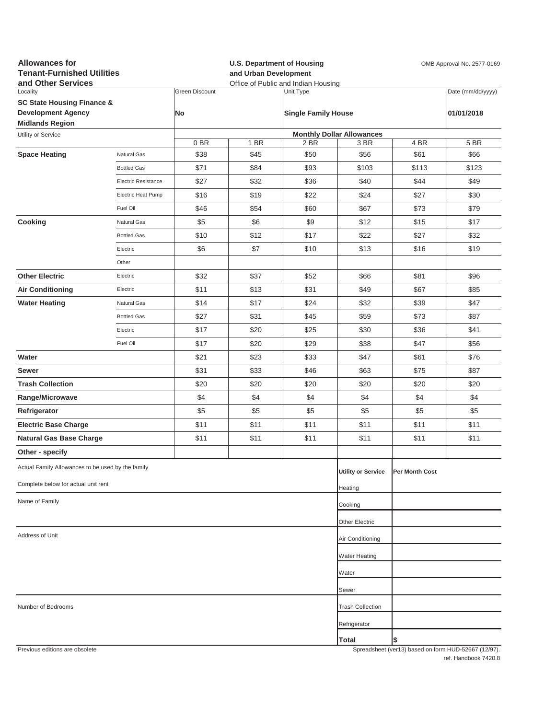| <b>Allowances for</b><br><b>Tenant-Furnished Utilities</b><br>and Other Services         |                     |                             | <b>U.S. Department of Housing</b><br>OMB Approval No. 2577-0169<br>and Urban Development<br>Office of Public and Indian Housing |                                         |                           |                |                                                     |  |  |  |
|------------------------------------------------------------------------------------------|---------------------|-----------------------------|---------------------------------------------------------------------------------------------------------------------------------|-----------------------------------------|---------------------------|----------------|-----------------------------------------------------|--|--|--|
| Locality<br><b>SC State Housing Finance &amp;</b><br><b>Development Agency</b>           |                     | <b>Green Discount</b><br>No |                                                                                                                                 | Unit Type<br><b>Single Family House</b> |                           |                | Date (mm/dd/yyyy)<br>01/01/2018                     |  |  |  |
| <b>Midlands Region</b>                                                                   |                     |                             |                                                                                                                                 |                                         |                           |                |                                                     |  |  |  |
| Utility or Service                                                                       |                     | 0 BR                        | <b>Monthly Dollar Allowances</b><br>1 BR<br>2 BR<br>3 BR<br>4 BR                                                                |                                         |                           |                |                                                     |  |  |  |
| <b>Space Heating</b>                                                                     | Natural Gas         | \$38                        | \$45                                                                                                                            | \$50                                    | \$56                      | \$61           | 5 BR<br>\$66                                        |  |  |  |
|                                                                                          | <b>Bottled Gas</b>  | \$71                        | \$84                                                                                                                            | \$93                                    | \$103                     | \$113          | \$123                                               |  |  |  |
|                                                                                          | Electric Resistance | \$27                        | \$32                                                                                                                            | \$36                                    | \$40                      | \$44           | \$49                                                |  |  |  |
|                                                                                          | Electric Heat Pump  | \$16                        | \$19                                                                                                                            | \$22                                    | \$24                      | \$27           | \$30                                                |  |  |  |
|                                                                                          | Fuel Oil            | \$46                        | \$54                                                                                                                            | \$60                                    | \$67                      | \$73           | \$79                                                |  |  |  |
| Cooking                                                                                  | Natural Gas         | \$5                         | \$6                                                                                                                             | \$9                                     | \$12                      | \$15           | \$17                                                |  |  |  |
|                                                                                          | <b>Bottled Gas</b>  | \$10                        | \$12                                                                                                                            | \$17                                    | \$22                      | \$27           | \$32                                                |  |  |  |
|                                                                                          | Electric            | \$6                         | \$7                                                                                                                             | \$10                                    | \$13                      | \$16           | \$19                                                |  |  |  |
|                                                                                          | Other               |                             |                                                                                                                                 |                                         |                           |                |                                                     |  |  |  |
| <b>Other Electric</b>                                                                    | Electric            | \$32                        | \$37                                                                                                                            | \$52                                    | \$66                      | \$81           | \$96                                                |  |  |  |
| <b>Air Conditioning</b>                                                                  | Electric            | \$11                        | \$13                                                                                                                            | \$31                                    | \$49                      | \$67           | \$85                                                |  |  |  |
| <b>Water Heating</b>                                                                     | Natural Gas         | \$14                        | \$17                                                                                                                            | \$24                                    | \$32                      | \$39           | \$47                                                |  |  |  |
|                                                                                          | <b>Bottled Gas</b>  | \$27                        | \$31                                                                                                                            | \$45                                    | \$59                      | \$73           | \$87                                                |  |  |  |
|                                                                                          | Electric            | \$17                        | \$20                                                                                                                            | \$25                                    | \$30                      | \$36           | \$41                                                |  |  |  |
|                                                                                          | Fuel Oil            | \$17                        | \$20                                                                                                                            | \$29                                    | \$38                      | \$47           | \$56                                                |  |  |  |
| Water                                                                                    |                     | \$21                        | \$23                                                                                                                            | \$33                                    | \$47                      | \$61           | \$76                                                |  |  |  |
| Sewer                                                                                    |                     | \$31                        | \$33                                                                                                                            | \$46                                    | \$63                      | \$75           | \$87                                                |  |  |  |
| <b>Trash Collection</b>                                                                  |                     | \$20                        | \$20                                                                                                                            | \$20                                    | \$20                      | \$20           | \$20                                                |  |  |  |
| Range/Microwave                                                                          |                     | \$4                         | \$4                                                                                                                             | \$4                                     | \$4                       | \$4            | \$4                                                 |  |  |  |
| Refrigerator                                                                             |                     | \$5                         | \$5                                                                                                                             | \$5                                     | \$5                       | \$5            | \$5                                                 |  |  |  |
| <b>Electric Base Charge</b>                                                              |                     | \$11                        | \$11                                                                                                                            | \$11                                    | \$11                      | \$11           | \$11                                                |  |  |  |
| <b>Natural Gas Base Charge</b>                                                           |                     | \$11                        | \$11                                                                                                                            | \$11                                    | \$11                      | \$11           | \$11                                                |  |  |  |
| Other - specify                                                                          |                     |                             |                                                                                                                                 |                                         |                           |                |                                                     |  |  |  |
| Actual Family Allowances to be used by the family<br>Complete below for actual unit rent |                     |                             |                                                                                                                                 |                                         | <b>Utility or Service</b> | Per Month Cost |                                                     |  |  |  |
|                                                                                          |                     |                             |                                                                                                                                 |                                         | Heating                   |                |                                                     |  |  |  |
| Name of Family                                                                           |                     |                             |                                                                                                                                 |                                         | Cooking                   |                |                                                     |  |  |  |
|                                                                                          |                     |                             | Other Electric                                                                                                                  |                                         |                           |                |                                                     |  |  |  |
| Address of Unit                                                                          |                     |                             |                                                                                                                                 |                                         | Air Conditioning          |                |                                                     |  |  |  |
|                                                                                          |                     |                             |                                                                                                                                 |                                         | Water Heating             |                |                                                     |  |  |  |
|                                                                                          |                     |                             |                                                                                                                                 |                                         | Water                     |                |                                                     |  |  |  |
|                                                                                          |                     |                             |                                                                                                                                 |                                         | Sewer                     |                |                                                     |  |  |  |
| Number of Bedrooms                                                                       |                     |                             |                                                                                                                                 |                                         | <b>Trash Collection</b>   |                |                                                     |  |  |  |
|                                                                                          |                     |                             |                                                                                                                                 |                                         | Refrigerator              |                |                                                     |  |  |  |
|                                                                                          |                     |                             |                                                                                                                                 |                                         |                           |                |                                                     |  |  |  |
| Previous editions are obsolete                                                           |                     |                             |                                                                                                                                 |                                         | Total                     | \$             | Spreadsheet (ver13) based on form HUD-52667 (12/97) |  |  |  |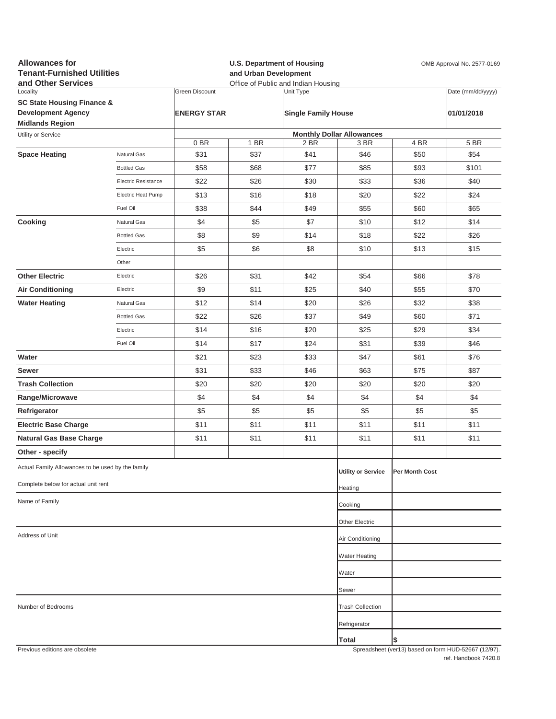| <b>Allowances for</b><br><b>Tenant-Furnished Utilities</b><br>and Other Services |                     | <b>U.S. Department of Housing</b><br>and Urban Development<br>Office of Public and Indian Housing |      |                            |                                  | OMB Approval No. 2577-0169 |                                                     |  |
|----------------------------------------------------------------------------------|---------------------|---------------------------------------------------------------------------------------------------|------|----------------------------|----------------------------------|----------------------------|-----------------------------------------------------|--|
| Locality                                                                         |                     | <b>Green Discount</b>                                                                             |      | Unit Type                  |                                  |                            | Date (mm/dd/yyyy)                                   |  |
| <b>SC State Housing Finance &amp;</b><br><b>Development Agency</b>               |                     | <b>ENERGY STAR</b>                                                                                |      |                            |                                  |                            |                                                     |  |
| <b>Midlands Region</b>                                                           |                     |                                                                                                   |      | <b>Single Family House</b> |                                  |                            | 01/01/2018                                          |  |
| Utility or Service                                                               |                     |                                                                                                   |      |                            | <b>Monthly Dollar Allowances</b> |                            |                                                     |  |
|                                                                                  |                     | 0BR                                                                                               | 1 BR | 2 BR                       | 3 BR                             | 4 BR                       | 5 BR                                                |  |
| <b>Space Heating</b>                                                             | Natural Gas         | \$31                                                                                              | \$37 | \$41                       | \$46                             | \$50                       | \$54                                                |  |
|                                                                                  | <b>Bottled Gas</b>  | \$58                                                                                              | \$68 | \$77                       | \$85                             | \$93                       | \$101                                               |  |
|                                                                                  | Electric Resistance | \$22                                                                                              | \$26 | \$30                       | \$33                             | \$36                       | \$40                                                |  |
|                                                                                  | Electric Heat Pump  | \$13                                                                                              | \$16 | \$18                       | \$20                             | \$22                       | \$24                                                |  |
|                                                                                  | Fuel Oil            | \$38                                                                                              | \$44 | \$49                       | \$55                             | \$60                       | \$65                                                |  |
| Cooking                                                                          | Natural Gas         | \$4                                                                                               | \$5  | \$7                        | \$10                             | \$12                       | \$14                                                |  |
|                                                                                  | <b>Bottled Gas</b>  | \$8                                                                                               | \$9  | \$14                       | \$18                             | \$22                       | \$26                                                |  |
|                                                                                  | Electric            | \$5                                                                                               | \$6  | \$8                        | \$10                             | \$13                       | \$15                                                |  |
|                                                                                  | Other               |                                                                                                   |      |                            |                                  |                            |                                                     |  |
| <b>Other Electric</b>                                                            | Electric            | \$26                                                                                              | \$31 | \$42                       | \$54                             | \$66                       | \$78                                                |  |
| <b>Air Conditioning</b>                                                          | Electric            | \$9                                                                                               | \$11 | \$25                       | \$40                             | \$55                       | \$70                                                |  |
| <b>Water Heating</b>                                                             | Natural Gas         | \$12                                                                                              | \$14 | \$20                       | \$26                             | \$32                       | \$38                                                |  |
|                                                                                  | <b>Bottled Gas</b>  | \$22                                                                                              | \$26 | \$37                       | \$49                             | \$60                       | \$71                                                |  |
|                                                                                  | Electric            | \$14                                                                                              | \$16 | \$20                       | \$25                             | \$29                       | \$34                                                |  |
|                                                                                  | Fuel Oil            | \$14                                                                                              | \$17 | \$24                       | \$31                             | \$39                       | \$46                                                |  |
| Water                                                                            |                     | \$21                                                                                              | \$23 | \$33                       | \$47                             | \$61                       | \$76                                                |  |
| Sewer                                                                            |                     | \$31                                                                                              | \$33 | \$46                       | \$63                             | \$75                       | \$87                                                |  |
| <b>Trash Collection</b>                                                          |                     | \$20                                                                                              | \$20 | \$20                       | \$20                             | \$20                       | \$20                                                |  |
| Range/Microwave                                                                  |                     | \$4                                                                                               | \$4  | \$4                        | \$4                              | \$4                        | \$4                                                 |  |
| Refrigerator                                                                     |                     | \$5                                                                                               | \$5  | \$5                        | \$5                              | \$5                        | \$5                                                 |  |
| <b>Electric Base Charge</b>                                                      |                     | \$11                                                                                              | \$11 | \$11                       | \$11                             | \$11                       | \$11                                                |  |
| <b>Natural Gas Base Charge</b>                                                   |                     | \$11                                                                                              | \$11 | \$11                       | \$11                             | \$11                       | \$11                                                |  |
| Other - specify                                                                  |                     |                                                                                                   |      |                            |                                  |                            |                                                     |  |
| Actual Family Allowances to be used by the family                                |                     |                                                                                                   |      |                            | <b>Utility or Service</b>        | Per Month Cost             |                                                     |  |
| Complete below for actual unit rent                                              |                     |                                                                                                   |      |                            | Heating                          |                            |                                                     |  |
| Name of Family                                                                   |                     |                                                                                                   |      |                            | Cooking                          |                            |                                                     |  |
|                                                                                  |                     |                                                                                                   |      |                            | Other Electric                   |                            |                                                     |  |
| Address of Unit                                                                  |                     |                                                                                                   |      |                            | Air Conditioning                 |                            |                                                     |  |
|                                                                                  |                     |                                                                                                   |      |                            |                                  |                            |                                                     |  |
|                                                                                  |                     |                                                                                                   |      |                            | <b>Water Heating</b>             |                            |                                                     |  |
|                                                                                  |                     |                                                                                                   |      |                            | Water                            |                            |                                                     |  |
|                                                                                  |                     |                                                                                                   |      |                            | Sewer                            |                            |                                                     |  |
| Number of Bedrooms                                                               |                     |                                                                                                   |      |                            | <b>Trash Collection</b>          |                            |                                                     |  |
|                                                                                  |                     |                                                                                                   |      |                            | Refrigerator                     |                            |                                                     |  |
|                                                                                  |                     |                                                                                                   |      |                            | Total                            |                            |                                                     |  |
| Previous editions are obsolete                                                   |                     |                                                                                                   |      |                            |                                  |                            | Spreadsheet (ver13) based on form HUD-52667 (12/97) |  |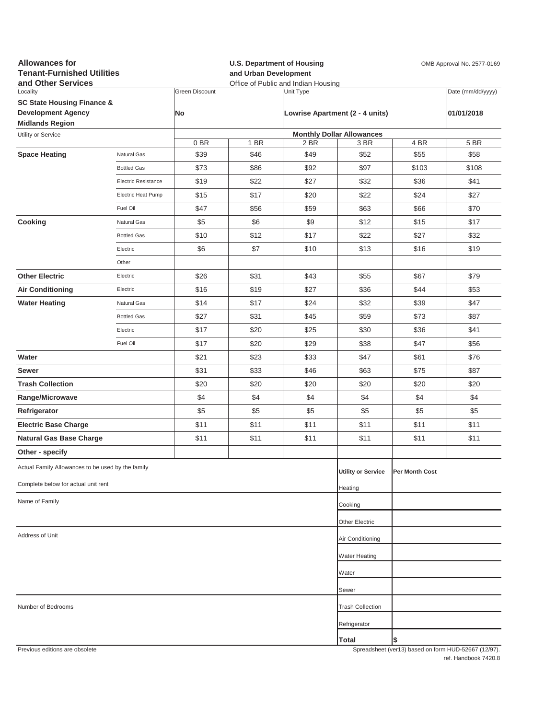| <b>Allowances for</b><br><b>Tenant-Furnished Utilities</b><br>and Other Services |                            |                                    | <b>U.S. Department of Housing</b><br>and Urban Development<br>Office of Public and Indian Housing |                                              |                                          |                | OMB Approval No. 2577-0169                          |
|----------------------------------------------------------------------------------|----------------------------|------------------------------------|---------------------------------------------------------------------------------------------------|----------------------------------------------|------------------------------------------|----------------|-----------------------------------------------------|
| Locality<br><b>SC State Housing Finance &amp;</b><br><b>Development Agency</b>   |                            | <b>Green Discount</b><br><b>No</b> |                                                                                                   | Unit Type<br>Lowrise Apartment (2 - 4 units) |                                          |                | Date (mm/dd/yyyy)<br>01/01/2018                     |
| <b>Midlands Region</b>                                                           |                            |                                    |                                                                                                   |                                              |                                          |                |                                                     |
| Utility or Service                                                               |                            | 0BR                                | 1 BR                                                                                              | 2 BR                                         | <b>Monthly Dollar Allowances</b><br>3 BR | 4 BR           | 5 BR                                                |
| <b>Space Heating</b>                                                             | Natural Gas                | \$39                               | \$46                                                                                              | \$49                                         | \$52                                     | \$55           | \$58                                                |
|                                                                                  | <b>Bottled Gas</b>         | \$73                               | \$86                                                                                              | \$92                                         | \$97                                     | \$103          | \$108                                               |
|                                                                                  | <b>Electric Resistance</b> | \$19                               | \$22                                                                                              | \$27                                         | \$32                                     | \$36           | \$41                                                |
|                                                                                  | Electric Heat Pump         | \$15                               | \$17                                                                                              | \$20                                         | \$22                                     | \$24           | \$27                                                |
|                                                                                  | Fuel Oil                   | \$47                               | \$56                                                                                              | \$59                                         | \$63                                     | \$66           | \$70                                                |
| Cooking                                                                          | Natural Gas                | \$5                                | \$6                                                                                               | \$9                                          | \$12                                     | \$15           | \$17                                                |
|                                                                                  | <b>Bottled Gas</b>         | \$10                               | \$12                                                                                              | \$17                                         | \$22                                     | \$27           | \$32                                                |
|                                                                                  | Electric                   | \$6                                | \$7                                                                                               | \$10                                         | \$13                                     | \$16           | \$19                                                |
|                                                                                  | Other                      |                                    |                                                                                                   |                                              |                                          |                |                                                     |
| <b>Other Electric</b>                                                            | Electric                   | \$26                               | \$31                                                                                              | \$43                                         | \$55                                     | \$67           | \$79                                                |
| <b>Air Conditioning</b>                                                          | Electric                   | \$16                               | \$19                                                                                              | \$27                                         | \$36                                     | \$44           | \$53                                                |
| <b>Water Heating</b>                                                             | Natural Gas                | \$14                               | \$17                                                                                              | \$24                                         | \$32                                     | \$39           | \$47                                                |
|                                                                                  | <b>Bottled Gas</b>         | \$27                               | \$31                                                                                              | \$45                                         | \$59                                     | \$73           | \$87                                                |
|                                                                                  | Electric                   | \$17                               | \$20                                                                                              | \$25                                         | \$30                                     | \$36           | \$41                                                |
|                                                                                  | Fuel Oil                   | \$17                               | \$20                                                                                              | \$29                                         | \$38                                     | \$47           | \$56                                                |
| Water                                                                            |                            | \$21                               | \$23                                                                                              | \$33                                         | \$47                                     | \$61           | \$76                                                |
| Sewer                                                                            |                            | \$31                               | \$33                                                                                              | \$46                                         | \$63                                     | \$75           | \$87                                                |
| <b>Trash Collection</b>                                                          |                            | \$20                               | \$20                                                                                              | \$20                                         | \$20                                     | \$20           | \$20                                                |
| Range/Microwave                                                                  |                            | \$4                                | \$4                                                                                               | \$4                                          | \$4                                      | \$4            | \$4                                                 |
| Refrigerator                                                                     |                            | \$5                                | \$5                                                                                               | \$5                                          | \$5                                      | \$5            | \$5                                                 |
| <b>Electric Base Charge</b>                                                      |                            | \$11                               | \$11                                                                                              | \$11                                         | \$11                                     | \$11           | \$11                                                |
| <b>Natural Gas Base Charge</b>                                                   |                            | \$11                               | \$11                                                                                              | \$11                                         | \$11                                     | \$11           | \$11                                                |
| Other - specify                                                                  |                            |                                    |                                                                                                   |                                              |                                          |                |                                                     |
| Actual Family Allowances to be used by the family                                |                            |                                    |                                                                                                   |                                              | <b>Utility or Service</b>                | Per Month Cost |                                                     |
| Complete below for actual unit rent                                              |                            |                                    |                                                                                                   |                                              | Heating                                  |                |                                                     |
| Name of Family                                                                   |                            |                                    |                                                                                                   |                                              | Cooking                                  |                |                                                     |
|                                                                                  |                            |                                    |                                                                                                   |                                              | Other Electric                           |                |                                                     |
| Address of Unit                                                                  |                            |                                    |                                                                                                   |                                              | Air Conditioning                         |                |                                                     |
|                                                                                  |                            |                                    |                                                                                                   |                                              | Water Heating                            |                |                                                     |
|                                                                                  |                            |                                    |                                                                                                   |                                              | Water                                    |                |                                                     |
|                                                                                  |                            |                                    |                                                                                                   |                                              | Sewer                                    |                |                                                     |
| Number of Bedrooms                                                               |                            |                                    |                                                                                                   |                                              | <b>Trash Collection</b>                  |                |                                                     |
|                                                                                  |                            |                                    |                                                                                                   |                                              | Refrigerator                             |                |                                                     |
|                                                                                  |                            |                                    |                                                                                                   |                                              | <b>Total</b>                             | \$             |                                                     |
| Previous editions are obsolete                                                   |                            |                                    |                                                                                                   |                                              |                                          |                | Spreadsheet (ver13) hased on form HUD-52667 (12/97) |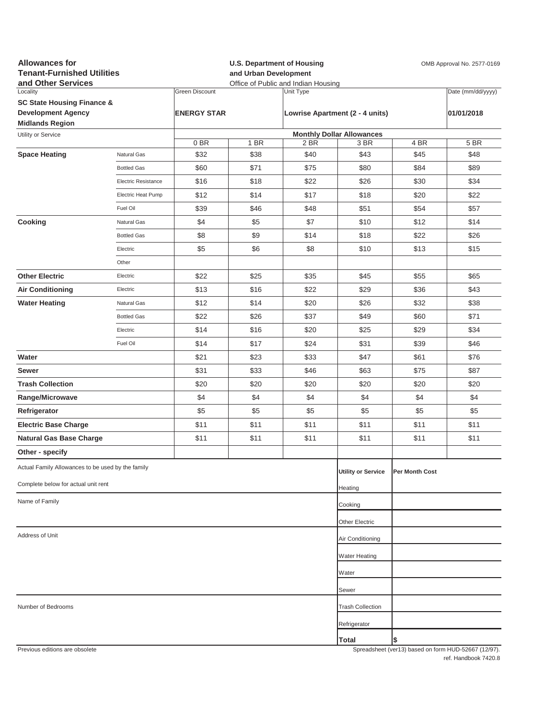| <b>Allowances for</b><br><b>Tenant-Furnished Utilities</b><br>and Other Services |                     | <b>U.S. Department of Housing</b><br>and Urban Development<br>Office of Public and Indian Housing |      |           |                                  | OMB Approval No. 2577-0169 |                                                     |
|----------------------------------------------------------------------------------|---------------------|---------------------------------------------------------------------------------------------------|------|-----------|----------------------------------|----------------------------|-----------------------------------------------------|
| Locality                                                                         |                     | <b>Green Discount</b>                                                                             |      | Unit Type |                                  |                            | Date (mm/dd/yyyy)                                   |
| <b>SC State Housing Finance &amp;</b>                                            |                     |                                                                                                   |      |           |                                  |                            |                                                     |
| <b>Development Agency</b><br><b>Midlands Region</b>                              |                     | <b>ENERGY STAR</b>                                                                                |      |           | Lowrise Apartment (2 - 4 units)  |                            | 01/01/2018                                          |
| Utility or Service                                                               |                     |                                                                                                   |      |           | <b>Monthly Dollar Allowances</b> |                            |                                                     |
|                                                                                  |                     | 0BR                                                                                               | 1 BR | 2 BR      | 3 BR                             | 4 BR                       | 5 BR                                                |
| <b>Space Heating</b>                                                             | Natural Gas         | \$32                                                                                              | \$38 | \$40      | \$43                             | \$45                       | \$48                                                |
|                                                                                  | <b>Bottled Gas</b>  | \$60                                                                                              | \$71 | \$75      | \$80                             | \$84                       | \$89                                                |
|                                                                                  | Electric Resistance | \$16                                                                                              | \$18 | \$22      | \$26                             | \$30                       | \$34                                                |
|                                                                                  | Electric Heat Pump  | \$12                                                                                              | \$14 | \$17      | \$18                             | \$20                       | \$22                                                |
|                                                                                  | Fuel Oil            | \$39                                                                                              | \$46 | \$48      | \$51                             | \$54                       | \$57                                                |
| Cooking                                                                          | Natural Gas         | \$4                                                                                               | \$5  | \$7       | \$10                             | \$12                       | \$14                                                |
|                                                                                  | <b>Bottled Gas</b>  | \$8                                                                                               | \$9  | \$14      | \$18                             | \$22                       | \$26                                                |
|                                                                                  | Electric            | \$5                                                                                               | \$6  | \$8       | \$10                             | \$13                       | \$15                                                |
|                                                                                  | Other               |                                                                                                   |      |           |                                  |                            |                                                     |
| <b>Other Electric</b>                                                            | Electric            | \$22                                                                                              | \$25 | \$35      | \$45                             | \$55                       | \$65                                                |
| <b>Air Conditioning</b>                                                          | Electric            | \$13                                                                                              | \$16 | \$22      | \$29                             | \$36                       | \$43                                                |
| <b>Water Heating</b>                                                             | Natural Gas         | \$12                                                                                              | \$14 | \$20      | \$26                             | \$32                       | \$38                                                |
|                                                                                  | <b>Bottled Gas</b>  | \$22                                                                                              | \$26 | \$37      | \$49                             | \$60                       | \$71                                                |
|                                                                                  | Electric            | \$14                                                                                              | \$16 | \$20      | \$25                             | \$29                       | \$34                                                |
|                                                                                  | Fuel Oil            | \$14                                                                                              | \$17 | \$24      | \$31                             | \$39                       | \$46                                                |
| Water                                                                            |                     | \$21                                                                                              | \$23 | \$33      | \$47                             | \$61                       | \$76                                                |
| Sewer                                                                            |                     | \$31                                                                                              | \$33 | \$46      | \$63                             | \$75                       | \$87                                                |
| <b>Trash Collection</b>                                                          |                     | \$20                                                                                              | \$20 | \$20      | \$20                             | \$20                       | \$20                                                |
| Range/Microwave                                                                  |                     | \$4                                                                                               | \$4  | \$4       | \$4                              | \$4                        | \$4                                                 |
| Refrigerator                                                                     |                     | \$5                                                                                               | \$5  | \$5       | \$5                              | \$5                        | \$5                                                 |
| <b>Electric Base Charge</b>                                                      |                     | \$11                                                                                              | \$11 | \$11      | \$11                             | \$11                       | \$11                                                |
| <b>Natural Gas Base Charge</b>                                                   |                     | \$11                                                                                              | \$11 | \$11      | \$11                             | \$11                       | \$11                                                |
| Other - specify                                                                  |                     |                                                                                                   |      |           |                                  |                            |                                                     |
|                                                                                  |                     |                                                                                                   |      |           |                                  |                            |                                                     |
| Actual Family Allowances to be used by the family                                |                     |                                                                                                   |      |           | <b>Utility or Service</b>        | Per Month Cost             |                                                     |
| Complete below for actual unit rent                                              |                     |                                                                                                   |      |           | Heating                          |                            |                                                     |
| Name of Family                                                                   |                     |                                                                                                   |      |           | Cooking                          |                            |                                                     |
|                                                                                  |                     |                                                                                                   |      |           | Other Electric                   |                            |                                                     |
| Address of Unit                                                                  |                     |                                                                                                   |      |           | Air Conditioning                 |                            |                                                     |
|                                                                                  |                     |                                                                                                   |      |           | <b>Water Heating</b>             |                            |                                                     |
|                                                                                  |                     |                                                                                                   |      |           | Water                            |                            |                                                     |
|                                                                                  |                     |                                                                                                   |      |           | Sewer                            |                            |                                                     |
|                                                                                  |                     |                                                                                                   |      |           |                                  |                            |                                                     |
| Number of Bedrooms                                                               |                     |                                                                                                   |      |           | <b>Trash Collection</b>          |                            |                                                     |
|                                                                                  |                     |                                                                                                   |      |           | Refrigerator                     |                            |                                                     |
| Previous editions are obsolete                                                   |                     |                                                                                                   |      |           | Total                            | \$                         | Spreadsheet (yer13) hased on form HUD-52667 (12/97) |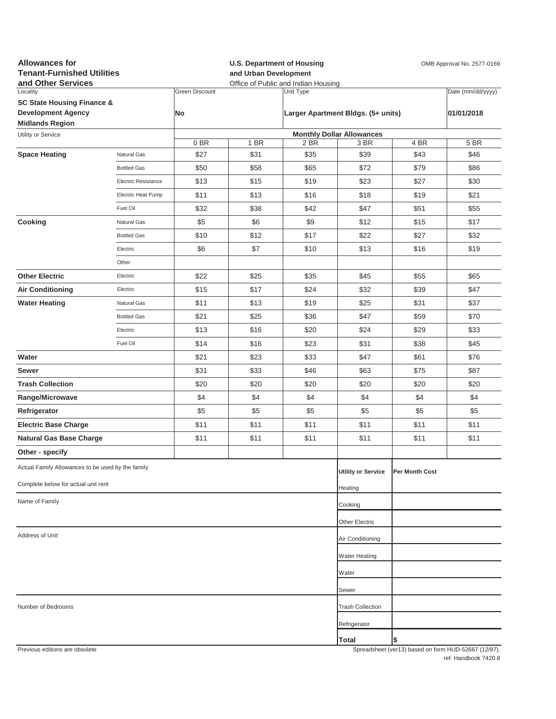| <b>Allowances for</b><br><b>Tenant-Furnished Utilities</b><br>and Other Services |                     |                | and Urban Development | <b>U.S. Department of Housing</b><br>Office of Public and Indian Housing | OMB Approval No. 2577-0169         |                |                                                     |  |
|----------------------------------------------------------------------------------|---------------------|----------------|-----------------------|--------------------------------------------------------------------------|------------------------------------|----------------|-----------------------------------------------------|--|
| Locality                                                                         |                     | Green Discount |                       | Unit Type                                                                |                                    |                | Date (mm/dd/yyyy)                                   |  |
| <b>SC State Housing Finance &amp;</b><br><b>Development Agency</b>               |                     |                |                       |                                                                          |                                    |                | 01/01/2018                                          |  |
| <b>Midlands Region</b>                                                           |                     | No             |                       |                                                                          | Larger Apartment Bldgs. (5+ units) |                |                                                     |  |
| Utility or Service                                                               |                     |                |                       |                                                                          | <b>Monthly Dollar Allowances</b>   |                |                                                     |  |
|                                                                                  |                     | 0BR            | 1 BR                  | 2 BR                                                                     | 3 BR                               | 4 BR           | 5 BR                                                |  |
| <b>Space Heating</b>                                                             | Natural Gas         | \$27           | \$31                  | \$35                                                                     | \$39                               | \$43           | \$46                                                |  |
|                                                                                  | <b>Bottled Gas</b>  | \$50           | \$58                  | \$65                                                                     | \$72                               | \$79           | \$86                                                |  |
|                                                                                  | Electric Resistance | \$13           | \$15                  | \$19                                                                     | \$23                               | \$27           | \$30                                                |  |
|                                                                                  | Electric Heat Pump  | \$11           | \$13                  | \$16                                                                     | \$18                               | \$19           | \$21                                                |  |
|                                                                                  | Fuel Oil            | \$32           | \$38                  | \$42                                                                     | \$47                               | \$51           | \$55                                                |  |
| Cooking                                                                          | Natural Gas         | \$5            | \$6                   | \$9                                                                      | \$12                               | \$15           | \$17                                                |  |
|                                                                                  | <b>Bottled Gas</b>  | \$10           | \$12                  | \$17                                                                     | \$22                               | \$27           | \$32                                                |  |
|                                                                                  | Electric            | \$6            | \$7                   | \$10                                                                     | \$13                               | \$16           | \$19                                                |  |
|                                                                                  | Other               |                |                       |                                                                          |                                    |                |                                                     |  |
| <b>Other Electric</b>                                                            | Electric            | \$22           | \$25                  | \$35                                                                     | \$45                               | \$55           | \$65                                                |  |
| <b>Air Conditioning</b>                                                          | Electric            | \$15           | \$17                  | \$24                                                                     | \$32                               | \$39           | \$47                                                |  |
| <b>Water Heating</b>                                                             | Natural Gas         | \$11           | \$13                  | \$19                                                                     | \$25                               | \$31           | \$37                                                |  |
|                                                                                  | <b>Bottled Gas</b>  | \$21           | \$25                  | \$36                                                                     | \$47                               | \$59           | \$70                                                |  |
|                                                                                  | Electric            | \$13           | \$16                  | \$20                                                                     | \$24                               | \$29           | \$33                                                |  |
|                                                                                  | Fuel Oil            | \$14           | \$16                  | \$23                                                                     | \$31                               | \$38           | \$45                                                |  |
| Water                                                                            |                     | \$21           | \$23                  | \$33                                                                     | \$47                               | \$61           | \$76                                                |  |
| Sewer                                                                            |                     | \$31           | \$33                  | \$46                                                                     | \$63                               | \$75           | \$87                                                |  |
| <b>Trash Collection</b>                                                          |                     | \$20           | \$20                  | \$20                                                                     | \$20                               | \$20           | \$20                                                |  |
| Range/Microwave                                                                  |                     | \$4            | \$4                   | \$4                                                                      | \$4                                | \$4            | \$4                                                 |  |
| Refrigerator                                                                     |                     | \$5            | \$5                   | \$5                                                                      | \$5                                | \$5            | \$5                                                 |  |
| <b>Electric Base Charge</b>                                                      |                     | \$11           | \$11                  | \$11                                                                     | \$11                               | \$11           | \$11                                                |  |
| <b>Natural Gas Base Charge</b>                                                   |                     | \$11           | \$11                  | \$11                                                                     | \$11                               | \$11           | \$11                                                |  |
| Other - specify                                                                  |                     |                |                       |                                                                          |                                    |                |                                                     |  |
| Actual Family Allowances to be used by the family                                |                     |                |                       |                                                                          | <b>Utility or Service</b>          | Per Month Cost |                                                     |  |
| Complete below for actual unit rent                                              |                     |                |                       |                                                                          | Heating                            |                |                                                     |  |
| Name of Family                                                                   |                     |                |                       |                                                                          | Cooking                            |                |                                                     |  |
|                                                                                  |                     |                |                       |                                                                          | Other Electric                     |                |                                                     |  |
| Address of Unit                                                                  |                     |                |                       |                                                                          | Air Conditioning                   |                |                                                     |  |
|                                                                                  |                     |                |                       |                                                                          | <b>Water Heating</b>               |                |                                                     |  |
|                                                                                  |                     |                |                       |                                                                          | Water                              |                |                                                     |  |
|                                                                                  |                     |                |                       |                                                                          | Sewer                              |                |                                                     |  |
| Number of Bedrooms                                                               |                     |                |                       |                                                                          | <b>Trash Collection</b>            |                |                                                     |  |
|                                                                                  |                     |                |                       |                                                                          |                                    |                |                                                     |  |
|                                                                                  |                     |                |                       |                                                                          | Refrigerator                       |                |                                                     |  |
| Previous editions are obsolete                                                   |                     |                |                       |                                                                          | Total                              | \$             | Spreadsheet (ver13) hased on form HUD-52667 (12/97) |  |